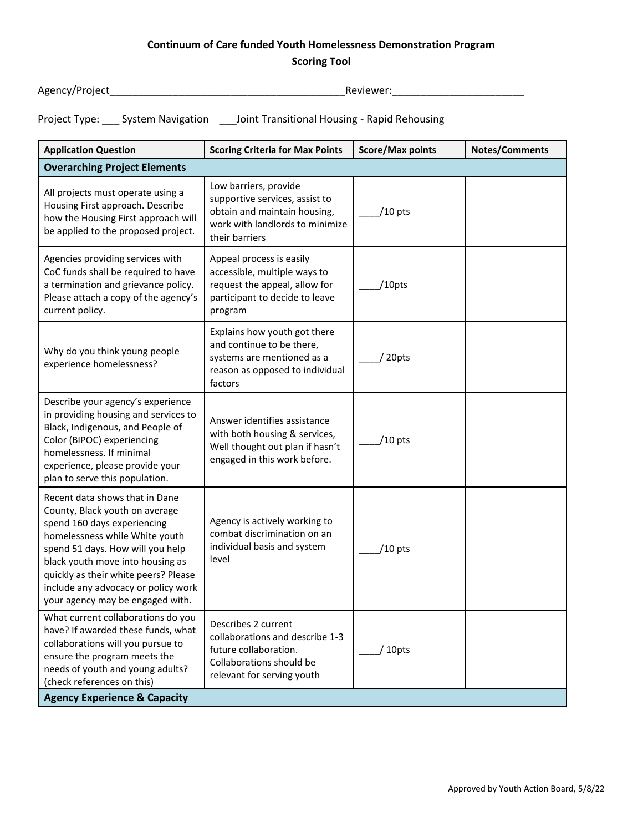## **Continuum of Care funded Youth Homelessness Demonstration Program**

## **Scoring Tool**

Agency/Project\_\_\_\_\_\_\_\_\_\_\_\_\_\_\_\_\_\_\_\_\_\_\_\_\_\_\_\_\_\_\_\_\_\_\_\_\_\_\_\_\_Reviewer:\_\_\_\_\_\_\_\_\_\_\_\_\_\_\_\_\_\_\_\_\_\_\_

Project Type: \_\_\_ System Navigation \_\_\_Joint Transitional Housing - Rapid Rehousing

| <b>Application Question</b>                                                                                                                                                                                                                                                                                                  | <b>Scoring Criteria for Max Points</b>                                                                                                       | <b>Score/Max points</b> | <b>Notes/Comments</b> |  |  |
|------------------------------------------------------------------------------------------------------------------------------------------------------------------------------------------------------------------------------------------------------------------------------------------------------------------------------|----------------------------------------------------------------------------------------------------------------------------------------------|-------------------------|-----------------------|--|--|
| <b>Overarching Project Elements</b>                                                                                                                                                                                                                                                                                          |                                                                                                                                              |                         |                       |  |  |
| All projects must operate using a<br>Housing First approach. Describe<br>how the Housing First approach will<br>be applied to the proposed project.                                                                                                                                                                          | Low barriers, provide<br>supportive services, assist to<br>obtain and maintain housing,<br>work with landlords to minimize<br>their barriers | $/10$ pts               |                       |  |  |
| Agencies providing services with<br>CoC funds shall be required to have<br>a termination and grievance policy.<br>Please attach a copy of the agency's<br>current policy.                                                                                                                                                    | Appeal process is easily<br>accessible, multiple ways to<br>request the appeal, allow for<br>participant to decide to leave<br>program       | /10pts                  |                       |  |  |
| Why do you think young people<br>experience homelessness?                                                                                                                                                                                                                                                                    | Explains how youth got there<br>and continue to be there,<br>systems are mentioned as a<br>reason as opposed to individual<br>factors        | 20pts                   |                       |  |  |
| Describe your agency's experience<br>in providing housing and services to<br>Black, Indigenous, and People of<br>Color (BIPOC) experiencing<br>homelessness. If minimal<br>experience, please provide your<br>plan to serve this population.                                                                                 | Answer identifies assistance<br>with both housing & services,<br>Well thought out plan if hasn't<br>engaged in this work before.             | $/10$ pts               |                       |  |  |
| Recent data shows that in Dane<br>County, Black youth on average<br>spend 160 days experiencing<br>homelessness while White youth<br>spend 51 days. How will you help<br>black youth move into housing as<br>quickly as their white peers? Please<br>include any advocacy or policy work<br>your agency may be engaged with. | Agency is actively working to<br>combat discrimination on an<br>individual basis and system<br>level                                         | /10 pts                 |                       |  |  |
| What current collaborations do you<br>have? If awarded these funds, what<br>collaborations will you pursue to<br>ensure the program meets the<br>needs of youth and young adults?<br>(check references on this)<br><b>Agency Experience &amp; Capacity</b>                                                                   | Describes 2 current<br>collaborations and describe 1-3<br>future collaboration.<br>Collaborations should be<br>relevant for serving youth    | 10pts                   |                       |  |  |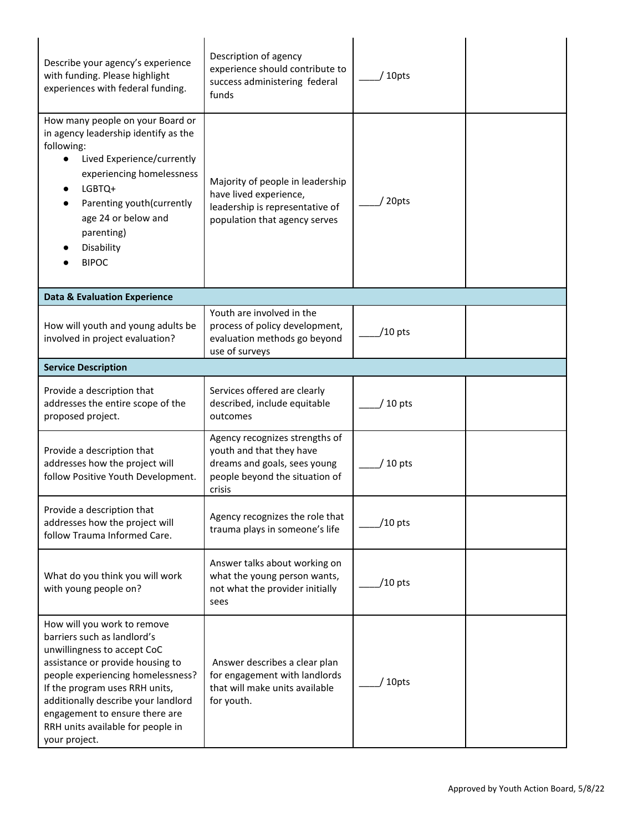| Describe your agency's experience<br>with funding. Please highlight<br>experiences with federal funding.                                                                                                                                                                                                                            | Description of agency<br>experience should contribute to<br>success administering federal<br>funds                                     | 10pts     |  |
|-------------------------------------------------------------------------------------------------------------------------------------------------------------------------------------------------------------------------------------------------------------------------------------------------------------------------------------|----------------------------------------------------------------------------------------------------------------------------------------|-----------|--|
| How many people on your Board or<br>in agency leadership identify as the<br>following:<br>Lived Experience/currently<br>experiencing homelessness<br>LGBTQ+<br>Parenting youth(currently<br>age 24 or below and<br>parenting)<br>Disability<br><b>BIPOC</b>                                                                         | Majority of people in leadership<br>have lived experience,<br>leadership is representative of<br>population that agency serves         | 20pts     |  |
| <b>Data &amp; Evaluation Experience</b>                                                                                                                                                                                                                                                                                             |                                                                                                                                        |           |  |
| How will youth and young adults be<br>involved in project evaluation?                                                                                                                                                                                                                                                               | Youth are involved in the<br>process of policy development,<br>evaluation methods go beyond<br>use of surveys                          | $/10$ pts |  |
| <b>Service Description</b>                                                                                                                                                                                                                                                                                                          |                                                                                                                                        |           |  |
| Provide a description that<br>addresses the entire scope of the<br>proposed project.                                                                                                                                                                                                                                                | Services offered are clearly<br>described, include equitable<br>outcomes                                                               | 10 pts    |  |
| Provide a description that<br>addresses how the project will<br>follow Positive Youth Development.                                                                                                                                                                                                                                  | Agency recognizes strengths of<br>youth and that they have<br>dreams and goals, sees young<br>people beyond the situation of<br>crisis | 10 pts    |  |
| Provide a description that<br>addresses how the project will<br>follow Trauma Informed Care.                                                                                                                                                                                                                                        | Agency recognizes the role that<br>trauma plays in someone's life                                                                      | /10 pts   |  |
| What do you think you will work<br>with young people on?                                                                                                                                                                                                                                                                            | Answer talks about working on<br>what the young person wants,<br>not what the provider initially<br>sees                               | $/10$ pts |  |
| How will you work to remove<br>barriers such as landlord's<br>unwillingness to accept CoC<br>assistance or provide housing to<br>people experiencing homelessness?<br>If the program uses RRH units,<br>additionally describe your landlord<br>engagement to ensure there are<br>RRH units available for people in<br>your project. | Answer describes a clear plan<br>for engagement with landlords<br>that will make units available<br>for youth.                         | 10pts     |  |